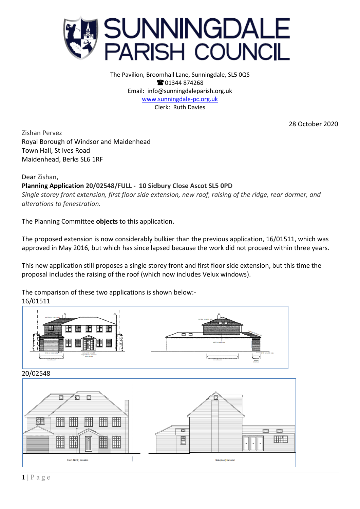

The Pavilion, Broomhall Lane, Sunningdale, SL5 0QS **@01344874268** Email: info@sunningdaleparish.org.uk [www.sunningdale-pc.org.uk](http://www.sunningdale-pc.org.uk/) Clerk: Ruth Davies

28 October 2020

Zishan Pervez Royal Borough of Windsor and Maidenhead Town Hall, St Ives Road Maidenhead, Berks SL6 1RF

## Dear Zishan,

## **Planning Application 20/02548/FULL - 10 Sidbury Close Ascot SL5 0PD**

*Single storey front extension, first floor side extension, new roof, raising of the ridge, rear dormer, and alterations to fenestration.*

The Planning Committee **objects** to this application.

The proposed extension is now considerably bulkier than the previous application, 16/01511, which was approved in May 2016, but which has since lapsed because the work did not proceed within three years.

This new application still proposes a single storey front and first floor side extension, but this time the proposal includes the raising of the roof (which now includes Velux windows).

The comparison of these two applications is shown below:- 16/01511

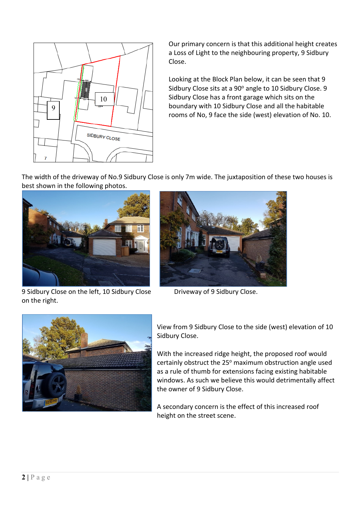

Our primary concern is that this additional height creates a Loss of Light to the neighbouring property, 9 Sidbury Close.

Looking at the Block Plan below, it can be seen that 9 Sidbury Close sits at a 90° angle to 10 Sidbury Close. 9 Sidbury Close has a front garage which sits on the boundary with 10 Sidbury Close and all the habitable rooms of No, 9 face the side (west) elevation of No. 10.

The width of the driveway of No.9 Sidbury Close is only 7m wide. The juxtaposition of these two houses is best shown in the following photos.



9 Sidbury Close on the left, 10 Sidbury Close Driveway of 9 Sidbury Close. on the right.





View from 9 Sidbury Close to the side (west) elevation of 10 Sidbury Close.

With the increased ridge height, the proposed roof would certainly obstruct the  $25^{\circ}$  maximum obstruction angle used as a rule of thumb for extensions facing existing habitable windows. As such we believe this would detrimentally affect the owner of 9 Sidbury Close.

A secondary concern is the effect of this increased roof height on the street scene.